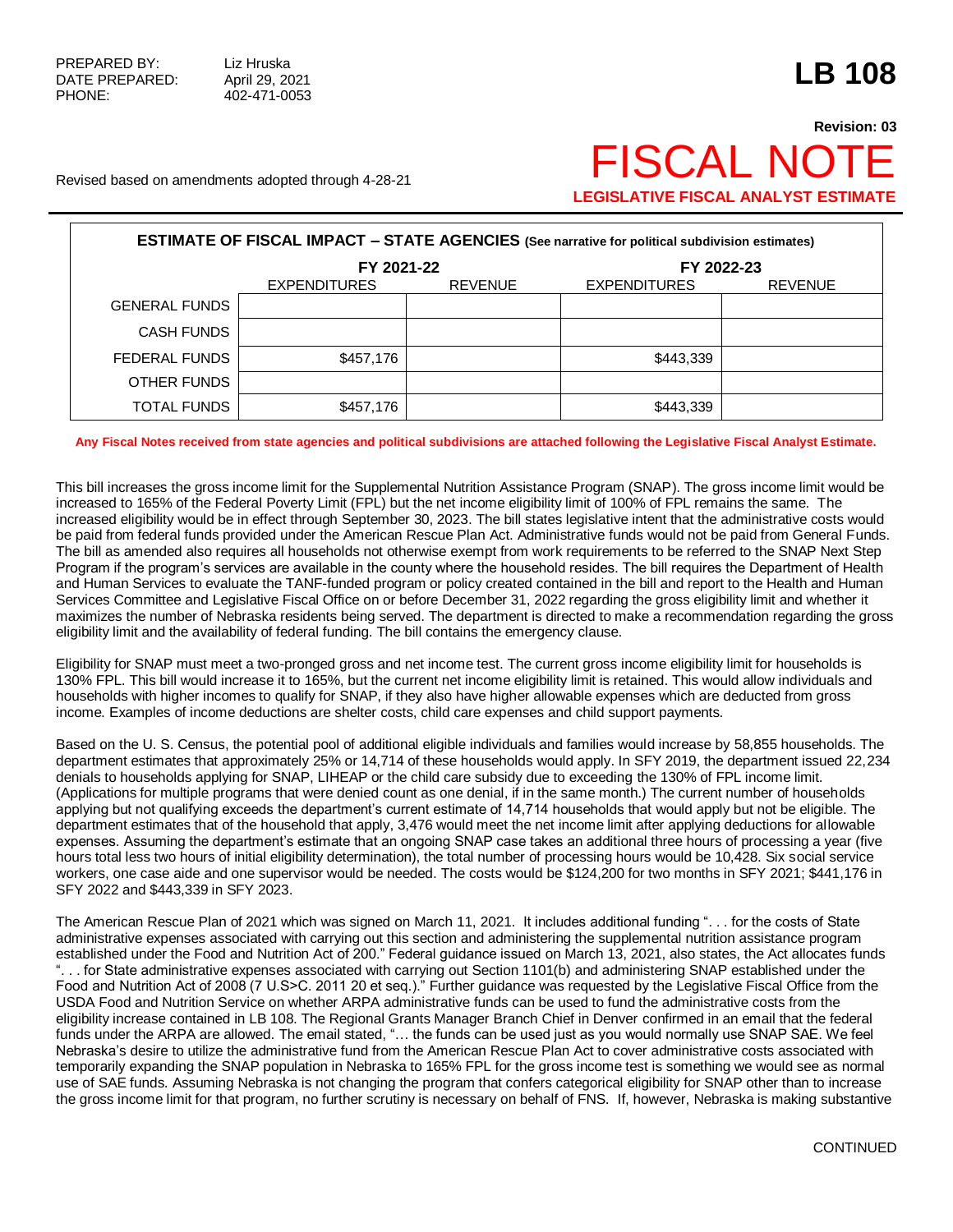## **Revision: 03** Revised based on amendments adopted through 4-28-21  $\mathsf{FISCAL}$   $\mathsf{N}\mathsf{C}$ **LEGISLATIVE FISCAL ANALYST ESTIMATE**

| <b>ESTIMATE OF FISCAL IMPACT - STATE AGENCIES</b> (See narrative for political subdivision estimates) |                     |                |                     |                |  |  |  |  |  |
|-------------------------------------------------------------------------------------------------------|---------------------|----------------|---------------------|----------------|--|--|--|--|--|
|                                                                                                       | FY 2021-22          |                | FY 2022-23          |                |  |  |  |  |  |
|                                                                                                       | <b>EXPENDITURES</b> | <b>REVENUE</b> | <b>EXPENDITURES</b> | <b>REVENUE</b> |  |  |  |  |  |
| <b>GENERAL FUNDS</b>                                                                                  |                     |                |                     |                |  |  |  |  |  |
| <b>CASH FUNDS</b>                                                                                     |                     |                |                     |                |  |  |  |  |  |
| FEDERAL FUNDS                                                                                         | \$457,176           |                | \$443,339           |                |  |  |  |  |  |
| OTHER FUNDS                                                                                           |                     |                |                     |                |  |  |  |  |  |
| <b>TOTAL FUNDS</b>                                                                                    | \$457,176           |                | \$443,339           |                |  |  |  |  |  |

## **Any Fiscal Notes received from state agencies and political subdivisions are attached following the Legislative Fiscal Analyst Estimate.**

This bill increases the gross income limit for the Supplemental Nutrition Assistance Program (SNAP). The gross income limit would be increased to 165% of the Federal Poverty Limit (FPL) but the net income eligibility limit of 100% of FPL remains the same. The increased eligibility would be in effect through September 30, 2023. The bill states legislative intent that the administrative costs would be paid from federal funds provided under the American Rescue Plan Act. Administrative funds would not be paid from General Funds. The bill as amended also requires all households not otherwise exempt from work requirements to be referred to the SNAP Next Step Program if the program's services are available in the county where the household resides. The bill requires the Department of Health and Human Services to evaluate the TANF-funded program or policy created contained in the bill and report to the Health and Human Services Committee and Legislative Fiscal Office on or before December 31, 2022 regarding the gross eligibility limit and whether it maximizes the number of Nebraska residents being served. The department is directed to make a recommendation regarding the gross eligibility limit and the availability of federal funding. The bill contains the emergency clause.

Eligibility for SNAP must meet a two-pronged gross and net income test. The current gross income eligibility limit for households is 130% FPL. This bill would increase it to 165%, but the current net income eligibility limit is retained. This would allow individuals and households with higher incomes to qualify for SNAP, if they also have higher allowable expenses which are deducted from gross income. Examples of income deductions are shelter costs, child care expenses and child support payments.

Based on the U. S. Census, the potential pool of additional eligible individuals and families would increase by 58,855 households. The department estimates that approximately 25% or 14,714 of these households would apply. In SFY 2019, the department issued 22,234 denials to households applying for SNAP, LIHEAP or the child care subsidy due to exceeding the 130% of FPL income limit. (Applications for multiple programs that were denied count as one denial, if in the same month.) The current number of households applying but not qualifying exceeds the department's current estimate of 14,714 households that would apply but not be eligible. The department estimates that of the household that apply, 3,476 would meet the net income limit after applying deductions for allowable expenses. Assuming the department's estimate that an ongoing SNAP case takes an additional three hours of processing a year (five hours total less two hours of initial eligibility determination), the total number of processing hours would be 10,428. Six social service workers, one case aide and one supervisor would be needed. The costs would be \$124,200 for two months in SFY 2021; \$441,176 in SFY 2022 and \$443,339 in SFY 2023.

The American Rescue Plan of 2021 which was signed on March 11, 2021. It includes additional funding ". . . for the costs of State administrative expenses associated with carrying out this section and administering the supplemental nutrition assistance program established under the Food and Nutrition Act of 200." Federal guidance issued on March 13, 2021, also states, the Act allocates funds ". . . for State administrative expenses associated with carrying out Section 1101(b) and administering SNAP established under the Food and Nutrition Act of 2008 (7 U.S>C. 2011 20 et seq.)." Further guidance was requested by the Legislative Fiscal Office from the USDA Food and Nutrition Service on whether ARPA administrative funds can be used to fund the administrative costs from the eligibility increase contained in LB 108. The Regional Grants Manager Branch Chief in Denver confirmed in an email that the federal funds under the ARPA are allowed. The email stated, "… the funds can be used just as you would normally use SNAP SAE. We feel Nebraska's desire to utilize the administrative fund from the American Rescue Plan Act to cover administrative costs associated with temporarily expanding the SNAP population in Nebraska to 165% FPL for the gross income test is something we would see as normal use of SAE funds. Assuming Nebraska is not changing the program that confers categorical eligibility for SNAP other than to increase the gross income limit for that program, no further scrutiny is necessary on behalf of FNS. If, however, Nebraska is making substantive